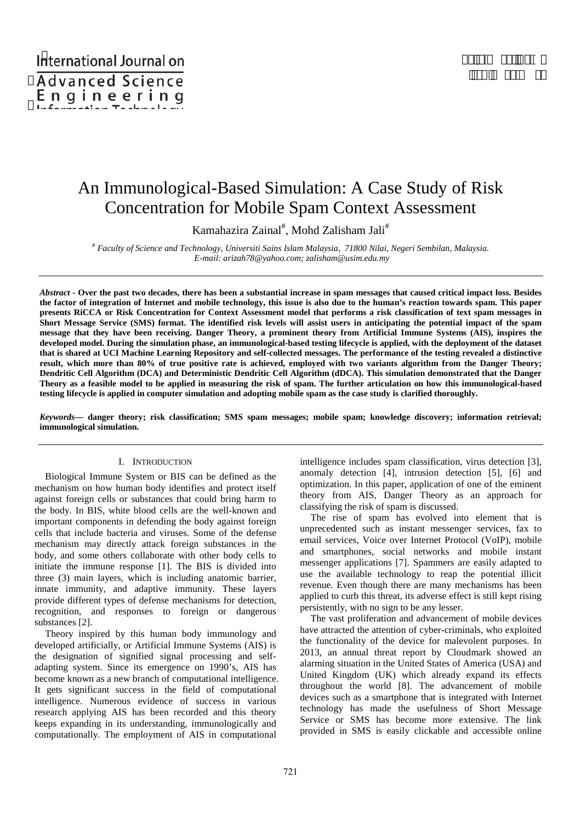# An Immunological-Based Simulation: A Case Study of Risk Concentration for Mobile Spam Context Assessment

Kamahazira Zainal<sup>#</sup>, Mohd Zalisham Jali<sup>#</sup>

*# Faculty of Science and Technology, Universiti Sains Islam Malaysia, 71800 Nilai, Negeri Sembilan, Malaysia. E-mail: arizah78@yahoo.com; zalisham@usim.edu.my* 

*Abstract* **- Over the past two decades, there has been a substantial increase in spam messages that caused critical impact loss. Besides the factor of integration of Internet and mobile technology, this issue is also due to the human's reaction towards spam. This paper presents RiCCA or Risk Concentration for Context Assessment model that performs a risk classification of text spam messages in Short Message Service (SMS) format. The identified risk levels will assist users in anticipating the potential impact of the spam message that they have been receiving. Danger Theory, a prominent theory from Artificial Immune Systems (AIS), inspires the developed model. During the simulation phase, an immunological-based testing lifecycle is applied, with the deployment of the dataset that is shared at UCI Machine Learning Repository and self-collected messages. The performance of the testing revealed a distinctive result, which more than 80% of true positive rate is achieved, employed with two variants algorithm from the Danger Theory; Dendritic Cell Algorithm (DCA) and Deterministic Dendritic Cell Algorithm (dDCA). This simulation demonstrated that the Danger Theory as a feasible model to be applied in measuring the risk of spam. The further articulation on how this immunological-based testing lifecycle is applied in computer simulation and adopting mobile spam as the case study is clarified thoroughly.** 

*Keywords***— danger theory; risk classification; SMS spam messages; mobile spam; knowledge discovery; information retrieval; immunological simulation.** 

## I. INTRODUCTION

Biological Immune System or BIS can be defined as the mechanism on how human body identifies and protect itself against foreign cells or substances that could bring harm to the body. In BIS, white blood cells are the well-known and important components in defending the body against foreign cells that include bacteria and viruses. Some of the defense mechanism may directly attack foreign substances in the body, and some others collaborate with other body cells to initiate the immune response [1]. The BIS is divided into three (3) main layers, which is including anatomic barrier, innate immunity, and adaptive immunity. These layers provide different types of defense mechanisms for detection, recognition, and responses to foreign or dangerous substances [2].

Theory inspired by this human body immunology and developed artificially, or Artificial Immune Systems (AIS) is the designation of signified signal processing and selfadapting system. Since its emergence on 1990's, AIS has become known as a new branch of computational intelligence. It gets significant success in the field of computational intelligence. Numerous evidence of success in various research applying AIS has been recorded and this theory keeps expanding in its understanding, immunologically and computationally. The employment of AIS in computational

intelligence includes spam classification, virus detection [3], anomaly detection [4], intrusion detection [5], [6] and optimization. In this paper, application of one of the eminent theory from AIS, Danger Theory as an approach for classifying the risk of spam is discussed.

The rise of spam has evolved into element that is unprecedented such as instant messenger services, fax to email services, Voice over Internet Protocol (VoIP), mobile and smartphones, social networks and mobile instant messenger applications [7]. Spammers are easily adapted to use the available technology to reap the potential illicit revenue. Even though there are many mechanisms has been applied to curb this threat, its adverse effect is still kept rising persistently, with no sign to be any lesser.

The vast proliferation and advancement of mobile devices have attracted the attention of cyber-criminals, who exploited the functionality of the device for malevolent purposes. In 2013, an annual threat report by Cloudmark showed an alarming situation in the United States of America (USA) and United Kingdom (UK) which already expand its effects throughout the world [8]. The advancement of mobile devices such as a smartphone that is integrated with Internet technology has made the usefulness of Short Message Service or SMS has become more extensive. The link provided in SMS is easily clickable and accessible online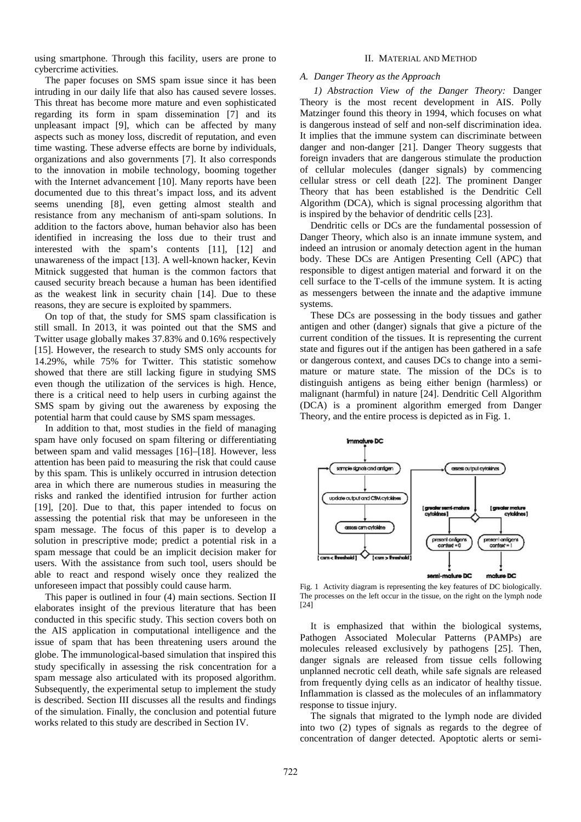using smartphone. Through this facility, users are prone to cybercrime activities.

The paper focuses on SMS spam issue since it has been intruding in our daily life that also has caused severe losses. This threat has become more mature and even sophisticated regarding its form in spam dissemination [7] and its unpleasant impact [9], which can be affected by many aspects such as money loss, discredit of reputation, and even time wasting. These adverse effects are borne by individuals, organizations and also governments [7]. It also corresponds to the innovation in mobile technology, booming together with the Internet advancement [10]. Many reports have been documented due to this threat's impact loss, and its advent seems unending [8], even getting almost stealth and resistance from any mechanism of anti-spam solutions. In addition to the factors above, human behavior also has been identified in increasing the loss due to their trust and interested with the spam's contents [11], [12] and unawareness of the impact [13]. A well-known hacker, Kevin Mitnick suggested that human is the common factors that caused security breach because a human has been identified as the weakest link in security chain [14]. Due to these reasons, they are secure is exploited by spammers.

On top of that, the study for SMS spam classification is still small. In 2013, it was pointed out that the SMS and Twitter usage globally makes 37.83% and 0.16% respectively [15]. However, the research to study SMS only accounts for 14.29%, while 75% for Twitter. This statistic somehow showed that there are still lacking figure in studying SMS even though the utilization of the services is high. Hence, there is a critical need to help users in curbing against the SMS spam by giving out the awareness by exposing the potential harm that could cause by SMS spam messages.

In addition to that, most studies in the field of managing spam have only focused on spam filtering or differentiating between spam and valid messages [16]–[18]. However, less attention has been paid to measuring the risk that could cause by this spam. This is unlikely occurred in intrusion detection area in which there are numerous studies in measuring the risks and ranked the identified intrusion for further action [19], [20]. Due to that, this paper intended to focus on assessing the potential risk that may be unforeseen in the spam message. The focus of this paper is to develop a solution in prescriptive mode; predict a potential risk in a spam message that could be an implicit decision maker for users. With the assistance from such tool, users should be able to react and respond wisely once they realized the unforeseen impact that possibly could cause harm.

This paper is outlined in four (4) main sections. Section II elaborates insight of the previous literature that has been conducted in this specific study. This section covers both on the AIS application in computational intelligence and the issue of spam that has been threatening users around the globe. The immunological-based simulation that inspired this study specifically in assessing the risk concentration for a spam message also articulated with its proposed algorithm. Subsequently, the experimental setup to implement the study is described. Section III discusses all the results and findings of the simulation. Finally, the conclusion and potential future works related to this study are described in Section IV.

## II. MATERIAL AND METHOD

#### *A. Danger Theory as the Approach*

*1) Abstraction View of the Danger Theory:* Danger Theory is the most recent development in AIS. Polly Matzinger found this theory in 1994, which focuses on what is dangerous instead of self and non-self discrimination idea. It implies that the immune system can discriminate between danger and non-danger [21]. Danger Theory suggests that foreign invaders that are dangerous stimulate the production of cellular molecules (danger signals) by commencing cellular stress or cell death [22]. The prominent Danger Theory that has been established is the Dendritic Cell Algorithm (DCA), which is signal processing algorithm that is inspired by the behavior of dendritic cells [23].

Dendritic cells or DCs are the fundamental possession of Danger Theory, which also is an innate immune system, and indeed an intrusion or anomaly detection agent in the human body. These DCs are Antigen Presenting Cell (APC) that responsible to digest antigen material and forward it on the cell surface to the T-cells of the immune system. It is acting as messengers between the innate and the adaptive immune systems.

These DCs are possessing in the body tissues and gather antigen and other (danger) signals that give a picture of the current condition of the tissues. It is representing the current state and figures out if the antigen has been gathered in a safe or dangerous context, and causes DCs to change into a semimature or mature state. The mission of the DCs is to distinguish antigens as being either benign (harmless) or malignant (harmful) in nature [24]. Dendritic Cell Algorithm (DCA) is a prominent algorithm emerged from Danger Theory, and the entire process is depicted as in Fig. 1.



Fig. 1 Activity diagram is representing the key features of DC biologically. The processes on the left occur in the tissue, on the right on the lymph node [24]

It is emphasized that within the biological systems, Pathogen Associated Molecular Patterns (PAMPs) are molecules released exclusively by pathogens [25]. Then, danger signals are released from tissue cells following unplanned necrotic cell death, while safe signals are released from frequently dying cells as an indicator of healthy tissue. Inflammation is classed as the molecules of an inflammatory response to tissue injury.

The signals that migrated to the lymph node are divided into two (2) types of signals as regards to the degree of concentration of danger detected. Apoptotic alerts or semi-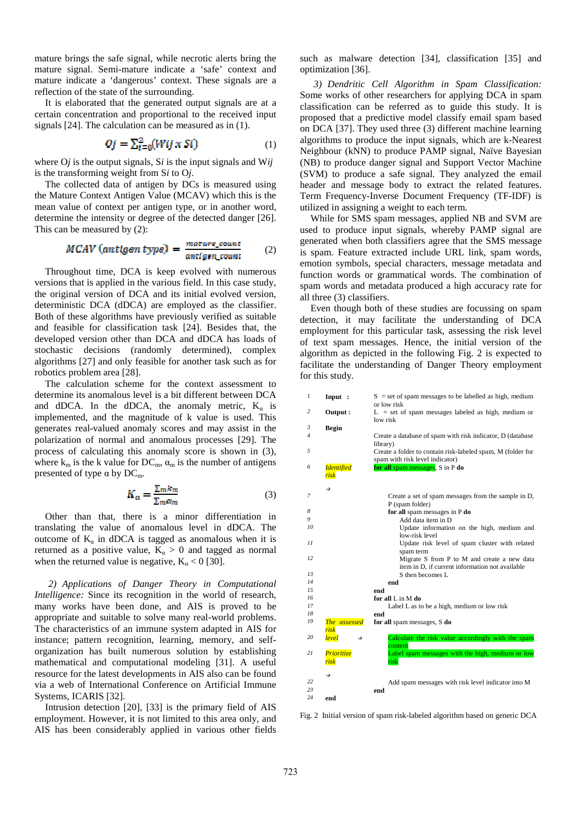mature brings the safe signal, while necrotic alerts bring the mature signal. Semi-mature indicate a 'safe' context and mature indicate a 'dangerous' context. These signals are a reflection of the state of the surrounding.

It is elaborated that the generated output signals are at a certain concentration and proportional to the received input signals [24]. The calculation can be measured as in (1).

$$
Qf = \sum_{i=0}^{2} (Wif \times St) \tag{1}
$$

where O*j* is the output signals, S*i* is the input signals and W*ij* is the transforming weight from S*i* to O*j*.

The collected data of antigen by DCs is measured using the Mature Context Antigen Value (MCAV) which this is the mean value of context per antigen type, or in another word, determine the intensity or degree of the detected danger [26]. This can be measured by (2):

$$
MCAV (antigen type) = \frac{mature\_count}{antigen\_count} \qquad (2)
$$

Throughout time, DCA is keep evolved with numerous versions that is applied in the various field. In this case study, the original version of DCA and its initial evolved version, deterministic DCA (dDCA) are employed as the classifier. Both of these algorithms have previously verified as suitable and feasible for classification task [24]. Besides that, the developed version other than DCA and dDCA has loads of stochastic decisions (randomly determined), complex algorithms [27] and only feasible for another task such as for robotics problem area [28].

The calculation scheme for the context assessment to determine its anomalous level is a bit different between DCA and dDCA. In the dDCA, the anomaly metric,  $K_a$  is implemented, and the magnitude of k value is used. This generates real-valued anomaly scores and may assist in the polarization of normal and anomalous processes [29]. The process of calculating this anomaly score is shown in (3), where  $k_m$  is the k value for DC<sub>m</sub>,  $\alpha_m$  is the number of antigens presented of type  $\alpha$  by DC<sub>m</sub>.

$$
K_{\alpha} = \frac{\Sigma_m k_m}{\Sigma_m \alpha_m} \tag{3}
$$

Other than that, there is a minor differentiation in translating the value of anomalous level in dDCA. The outcome of  $K_a$  in dDCA is tagged as anomalous when it is returned as a positive value,  $K_a > 0$  and tagged as normal when the returned value is negative,  $K_{\alpha} < 0$  [30].

*2) Applications of Danger Theory in Computational Intelligence:* Since its recognition in the world of research, many works have been done, and AIS is proved to be appropriate and suitable to solve many real-world problems. The characteristics of an immune system adapted in AIS for instance; pattern recognition, learning, memory, and selforganization has built numerous solution by establishing mathematical and computational modeling [31]. A useful resource for the latest developments in AIS also can be found via a web of International Conference on Artificial Immune Systems, ICARIS [32].

Intrusion detection [20], [33] is the primary field of AIS employment. However, it is not limited to this area only, and AIS has been considerably applied in various other fields such as malware detection [34], classification [35] and optimization [36].

*3) Dendritic Cell Algorithm in Spam Classification:*  Some works of other researchers for applying DCA in spam classification can be referred as to guide this study. It is proposed that a predictive model classify email spam based on DCA [37]. They used three (3) different machine learning algorithms to produce the input signals, which are k-Nearest Neighbour (kNN) to produce PAMP signal, Naïve Bayesian (NB) to produce danger signal and Support Vector Machine (SVM) to produce a safe signal. They analyzed the email header and message body to extract the related features. Term Frequency-Inverse Document Frequency (TF-IDF) is utilized in assigning a weight to each term.

While for SMS spam messages, applied NB and SVM are used to produce input signals, whereby PAMP signal are generated when both classifiers agree that the SMS message is spam. Feature extracted include URL link, spam words, emotion symbols, special characters, message metadata and function words or grammatical words. The combination of spam words and metadata produced a high accuracy rate for all three (3) classifiers.

Even though both of these studies are focussing on spam detection, it may facilitate the understanding of DCA employment for this particular task, assessing the risk level of text spam messages. Hence, the initial version of the algorithm as depicted in the following Fig. 2 is expected to facilitate the understanding of Danger Theory employment for this study.

| 1  | Input :                   | $S = set of spam messages to be labelled as high, medium$                                      |
|----|---------------------------|------------------------------------------------------------------------------------------------|
|    |                           | or low risk                                                                                    |
| 2  | Output:                   | $L = set of spam messages labeled as high, medium or$<br>low risk                              |
| 3  | <b>Begin</b>              |                                                                                                |
| 4  |                           | Create a database of spam with risk indicator, D (database)<br>library)                        |
| 5  |                           | Create a folder to contain risk-labeled spam, M (folder for<br>spam with risk level indicator) |
| 6  | <b>Identified</b><br>risk | for all spam messages, S in P do                                                               |
|    | →                         |                                                                                                |
| 7  |                           | Create a set of spam messages from the sample in D,<br>P (spam folder)                         |
| 8  |                           | for all spam messages in P do                                                                  |
| 9  |                           | Add data item in D                                                                             |
| 10 |                           | Update information on the high, medium and<br>low-risk level                                   |
| 11 |                           | Update risk level of spam cluster with related<br>spam term                                    |
| 12 |                           | Migrate S from P to M and create a new data<br>item in D, if current information not available |
| 13 |                           | S then becomes L                                                                               |
| 14 |                           | end                                                                                            |
| 15 |                           | end                                                                                            |
| 16 |                           | for all L in M do                                                                              |
| 17 |                           | Label L as to be a high, medium or low risk                                                    |
| 18 |                           | end                                                                                            |
| 19 | The assessed<br>risk      | for all spam messages, S do                                                                    |
| 20 | level<br>→                | Calculate the risk value accordingly with the spam<br>content                                  |
| 21 | Prioritize<br>risk        | Label spam messages with the high, medium or low<br>risk                                       |
|    | →                         |                                                                                                |
| 22 |                           | Add spam messages with risk level indicator into M                                             |
| 23 |                           | end                                                                                            |
| 24 | end                       |                                                                                                |

Fig. 2 Initial version of spam risk-labeled algorithm based on generic DCA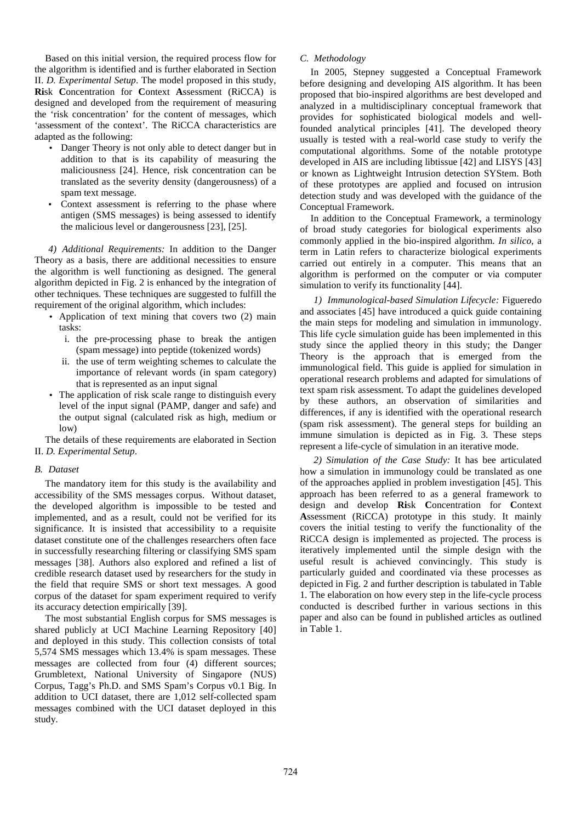Based on this initial version, the required process flow for the algorithm is identified and is further elaborated in Section II. *D. Experimental Setup*. The model proposed in this study, **Ri**sk **C**oncentration for **C**ontext **A**ssessment (RiCCA) is designed and developed from the requirement of measuring the 'risk concentration' for the content of messages, which 'assessment of the context'. The RiCCA characteristics are adapted as the following:

- Danger Theory is not only able to detect danger but in addition to that is its capability of measuring the maliciousness [24]. Hence, risk concentration can be translated as the severity density (dangerousness) of a spam text message.
- Context assessment is referring to the phase where antigen (SMS messages) is being assessed to identify the malicious level or dangerousness [23], [25].

*4) Additional Requirements:* In addition to the Danger Theory as a basis, there are additional necessities to ensure the algorithm is well functioning as designed. The general algorithm depicted in Fig. 2 is enhanced by the integration of other techniques. These techniques are suggested to fulfill the requirement of the original algorithm, which includes:

- Application of text mining that covers two (2) main tasks:
	- i. the pre-processing phase to break the antigen (spam message) into peptide (tokenized words)
	- ii. the use of term weighting schemes to calculate the importance of relevant words (in spam category) that is represented as an input signal
- The application of risk scale range to distinguish every level of the input signal (PAMP, danger and safe) and the output signal (calculated risk as high, medium or low)

The details of these requirements are elaborated in Section II. *D. Experimental Setup*.

## *B. Dataset*

The mandatory item for this study is the availability and accessibility of the SMS messages corpus. Without dataset, the developed algorithm is impossible to be tested and implemented, and as a result, could not be verified for its significance. It is insisted that accessibility to a requisite dataset constitute one of the challenges researchers often face in successfully researching filtering or classifying SMS spam messages [38]. Authors also explored and refined a list of credible research dataset used by researchers for the study in the field that require SMS or short text messages. A good corpus of the dataset for spam experiment required to verify its accuracy detection empirically [39].

The most substantial English corpus for SMS messages is shared publicly at UCI Machine Learning Repository [40] and deployed in this study. This collection consists of total 5,574 SMS messages which 13.4% is spam messages. These messages are collected from four (4) different sources; Grumbletext, National University of Singapore (NUS) Corpus, Tagg's Ph.D. and SMS Spam's Corpus v0.1 Big. In addition to UCI dataset, there are 1,012 self-collected spam messages combined with the UCI dataset deployed in this study.

## *C. Methodology*

In 2005, Stepney suggested a Conceptual Framework before designing and developing AIS algorithm. It has been proposed that bio-inspired algorithms are best developed and analyzed in a multidisciplinary conceptual framework that provides for sophisticated biological models and wellfounded analytical principles [41]. The developed theory usually is tested with a real-world case study to verify the computational algorithms. Some of the notable prototype developed in AIS are including libtissue [42] and LISYS [43] or known as Lightweight Intrusion detection SYStem. Both of these prototypes are applied and focused on intrusion detection study and was developed with the guidance of the Conceptual Framework.

In addition to the Conceptual Framework, a terminology of broad study categories for biological experiments also commonly applied in the bio-inspired algorithm. *In silico*, a term in Latin refers to characterize biological experiments carried out entirely in a computer. This means that an algorithm is performed on the computer or via computer simulation to verify its functionality [44].

*1) Immunological-based Simulation Lifecycle:* Figueredo and associates [45] have introduced a quick guide containing the main steps for modeling and simulation in immunology. This life cycle simulation guide has been implemented in this study since the applied theory in this study; the Danger Theory is the approach that is emerged from the immunological field. This guide is applied for simulation in operational research problems and adapted for simulations of text spam risk assessment. To adapt the guidelines developed by these authors, an observation of similarities and differences, if any is identified with the operational research (spam risk assessment). The general steps for building an immune simulation is depicted as in Fig. 3. These steps represent a life-cycle of simulation in an iterative mode.

*2) Simulation of the Case Study:* It has bee articulated how a simulation in immunology could be translated as one of the approaches applied in problem investigation [45]. This approach has been referred to as a general framework to design and develop **Ri**sk **C**oncentration for **C**ontext **A**ssessment (RiCCA) prototype in this study. It mainly covers the initial testing to verify the functionality of the RiCCA design is implemented as projected. The process is iteratively implemented until the simple design with the useful result is achieved convincingly. This study is particularly guided and coordinated via these processes as depicted in Fig. 2 and further description is tabulated in Table 1. The elaboration on how every step in the life-cycle process conducted is described further in various sections in this paper and also can be found in published articles as outlined in Table 1.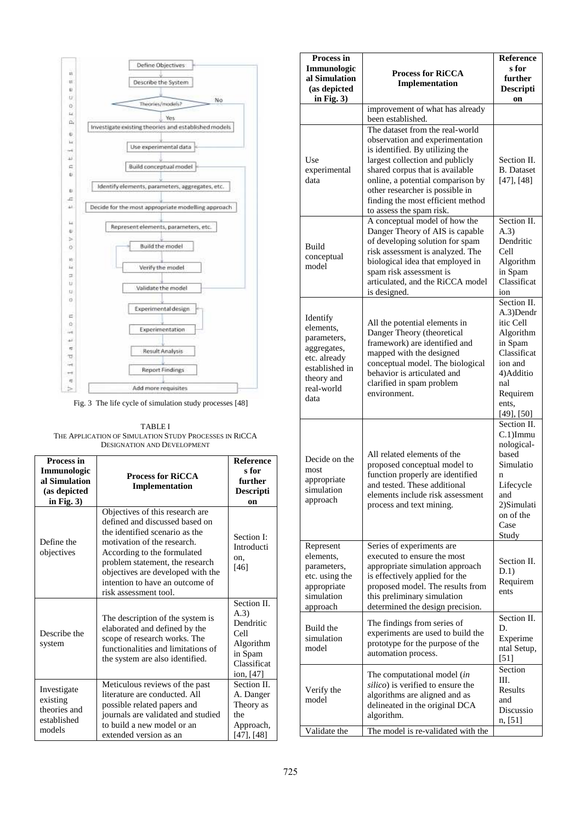

Fig. 3 The life cycle of simulation study processes [48]

TABLE I THE APPLICATION OF SIMULATION STUDY PROCESSES IN RICCA DESIGNATION AND DEVELOPMENT

| Process in<br>Immunologic<br>al Simulation<br>(as depicted<br>in Fig. $3)$ | <b>Process for RiCCA</b><br>Implementation                                                                                                                                                                                                                                                            | <b>Reference</b><br>s for<br>further<br><b>Descripti</b><br>on                                |
|----------------------------------------------------------------------------|-------------------------------------------------------------------------------------------------------------------------------------------------------------------------------------------------------------------------------------------------------------------------------------------------------|-----------------------------------------------------------------------------------------------|
| Define the<br>objectives                                                   | Objectives of this research are<br>defined and discussed based on<br>the identified scenario as the<br>motivation of the research.<br>According to the formulated<br>problem statement, the research<br>objectives are developed with the<br>intention to have an outcome of<br>risk assessment tool. | Section I:<br>Introducti<br>on,<br>$[46]$                                                     |
| Describe the<br>system                                                     | The description of the system is<br>elaborated and defined by the<br>scope of research works. The<br>functionalities and limitations of<br>the system are also identified.                                                                                                                            | Section II.<br>(A.3)<br>Dendritic<br>Cell<br>Algorithm<br>in Spam<br>Classificat<br>ion, [47] |
| Investigate<br>existing<br>theories and<br>established<br>models           | Meticulous reviews of the past<br>literature are conducted. All<br>possible related papers and<br>journals are validated and studied<br>to build a new model or an<br>extended version as an                                                                                                          | Section II.<br>A. Danger<br>Theory as<br>the<br>Approach,<br>[47], [48]                       |

| Process in<br>Immunologic<br>al Simulation<br>(as depicted<br>in Fig. $3)$                                                | <b>Process for RiCCA</b><br>Implementation                                                                                                                                                                                                                                                                           | <b>Reference</b><br>s for<br>further<br>Descripti<br>on                                                                                              |
|---------------------------------------------------------------------------------------------------------------------------|----------------------------------------------------------------------------------------------------------------------------------------------------------------------------------------------------------------------------------------------------------------------------------------------------------------------|------------------------------------------------------------------------------------------------------------------------------------------------------|
|                                                                                                                           | improvement of what has already<br>been established.                                                                                                                                                                                                                                                                 |                                                                                                                                                      |
| Use<br>experimental<br>data                                                                                               | The dataset from the real-world<br>observation and experimentation<br>is identified. By utilizing the<br>largest collection and publicly<br>shared corpus that is available<br>online, a potential comparison by<br>other researcher is possible in<br>finding the most efficient method<br>to assess the spam risk. | Section II.<br><b>B.</b> Dataset<br>[47], [48]                                                                                                       |
| Build<br>conceptual<br>model                                                                                              | A conceptual model of how the<br>Danger Theory of AIS is capable<br>of developing solution for spam<br>risk assessment is analyzed. The<br>biological idea that employed in<br>spam risk assessment is<br>articulated, and the RiCCA model<br>is designed.                                                           | Section II.<br>(A.3)<br>Dendritic<br>Cell<br>Algorithm<br>in Spam<br>Classificat<br>ion                                                              |
| Identify<br>elements,<br>parameters,<br>aggregates,<br>etc. already<br>established in<br>theory and<br>real-world<br>data | All the potential elements in<br>Danger Theory (theoretical<br>framework) are identified and<br>mapped with the designed<br>conceptual model. The biological<br>behavior is articulated and<br>clarified in spam problem<br>environment.                                                                             | Section II.<br>A.3)Dendr<br>itic Cell<br>Algorithm<br>in Spam<br>Classificat<br>ion and<br>4) Additio<br>nal<br>Requirem<br>ents,<br>$[49]$ , $[50]$ |
| Decide on the<br>most<br>appropriate<br>simulation<br>approach                                                            | All related elements of the<br>proposed conceptual model to<br>function properly are identified<br>and tested. These additional<br>elements include risk assessment<br>process and text mining.                                                                                                                      | Section II.<br>$C.1$ ) $Immu$<br>nological-<br>based<br>Simulatio<br>n<br>Lifecycle<br>and<br>2)Simulati<br>on of the<br>Case<br>Study               |
| Represent<br>elements,<br>parameters,<br>etc. using the<br>appropriate<br>simulation<br>approach                          | Series of experiments are<br>executed to ensure the most<br>appropriate simulation approach<br>is effectively applied for the<br>proposed model. The results from<br>this preliminary simulation<br>determined the design precision.                                                                                 | Section II.<br>D.1)<br>Requirem<br>ents                                                                                                              |
| Build the<br>simulation<br>model                                                                                          | The findings from series of<br>experiments are used to build the<br>prototype for the purpose of the<br>automation process.                                                                                                                                                                                          | Section II.<br>D.<br>Experime<br>ntal Setup,<br>$[51]$                                                                                               |
| Verify the<br>model                                                                                                       | The computational model (in<br>silico) is verified to ensure the<br>algorithms are aligned and as<br>delineated in the original DCA<br>algorithm.                                                                                                                                                                    | Section<br>III.<br>Results<br>and<br>Discussio<br>n, [51]                                                                                            |
| Validate the                                                                                                              | The model is re-validated with the                                                                                                                                                                                                                                                                                   |                                                                                                                                                      |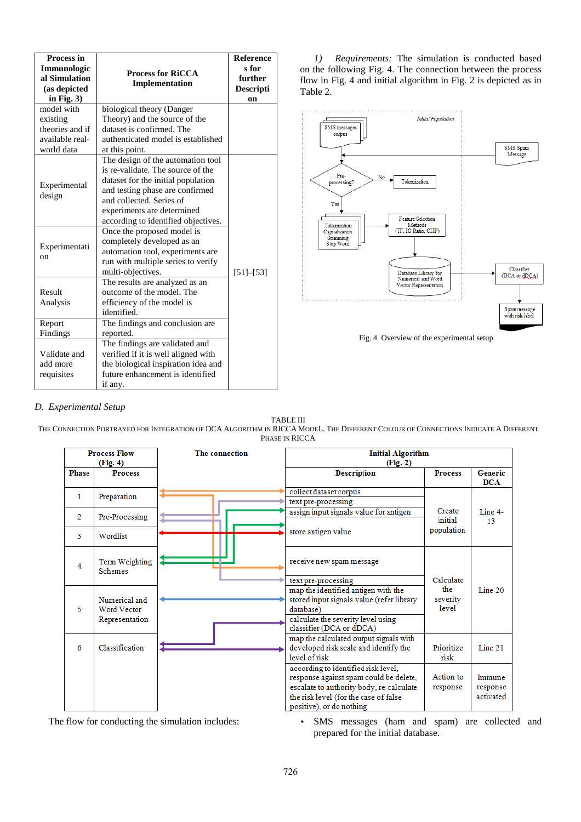| <b>Process in</b><br>Immunologic<br>al Simulation<br>(as depicted<br>in Fig. $3)$<br>model with                                                                                                                                | <b>Process for RiCCA</b><br>Implementation<br>biological theory (Danger                                                                                                                                                                          | <b>Reference</b><br>s for<br>further<br>Descripti<br>on |
|--------------------------------------------------------------------------------------------------------------------------------------------------------------------------------------------------------------------------------|--------------------------------------------------------------------------------------------------------------------------------------------------------------------------------------------------------------------------------------------------|---------------------------------------------------------|
| existing                                                                                                                                                                                                                       | Theory) and the source of the                                                                                                                                                                                                                    |                                                         |
| theories and if<br>available real-<br>world data                                                                                                                                                                               | dataset is confirmed. The<br>authenticated model is established<br>at this point.                                                                                                                                                                |                                                         |
| Experimental<br>design                                                                                                                                                                                                         | The design of the automation tool<br>is re-validate. The source of the<br>dataset for the initial population<br>and testing phase are confirmed<br>and collected. Series of<br>experiments are determined<br>according to identified objectives. |                                                         |
| Experimentati<br>on                                                                                                                                                                                                            | Once the proposed model is<br>completely developed as an<br>automation tool, experiments are<br>run with multiple series to verify<br>multi-objectives.                                                                                          | $[51] - [53]$                                           |
| Result<br>Analysis                                                                                                                                                                                                             | The results are analyzed as an<br>outcome of the model. The<br>efficiency of the model is<br>identified.                                                                                                                                         |                                                         |
| Report                                                                                                                                                                                                                         | The findings and conclusion are                                                                                                                                                                                                                  |                                                         |
| Findings<br>reported.<br>The findings are validated and<br>Validate and<br>verified if it is well aligned with<br>add more<br>the biological inspiration idea and<br>future enhancement is identified<br>requisites<br>if any. |                                                                                                                                                                                                                                                  |                                                         |

*1) Requirements:* The simulation is conducted based on the following Fig. 4. The connection between the process flow in Fig. 4 and initial algorithm in Fig. 2 is depicted as in Table 2.



# *D. Experimental Setup*

## TABLE III

THE CONNECTION PORTRAYED FOR INTEGRATION OF DCA ALGORITHM IN RICCA MODEL. THE DIFFERENT COLOUR OF CONNECTIONS INDICATE A DIFFERENT PHASE IN RICCA

| <b>Process Flow</b><br>(Fig. 4) |                                     | The connection | <b>Initial Algorithm</b><br>(Fig. 2)                                                                                      |                          |                       |
|---------------------------------|-------------------------------------|----------------|---------------------------------------------------------------------------------------------------------------------------|--------------------------|-----------------------|
| <b>Phase</b>                    | <b>Process</b>                      |                | <b>Description</b>                                                                                                        | <b>Process</b>           | Generic<br><b>DCA</b> |
| $\mathbf{1}$                    | Preparation                         |                | collect dataset corpus                                                                                                    |                          |                       |
|                                 |                                     |                | text pre-processing                                                                                                       |                          |                       |
| $\overline{2}$                  | Pre-Processing                      |                | assign input signals value for antigen                                                                                    | Create<br>initial        | Line 4-               |
| 3                               | Wordlist                            |                | store antigen value                                                                                                       | population               | 13                    |
| 4                               | Term Weighting<br><b>Schemes</b>    |                | receive new spam message                                                                                                  |                          |                       |
|                                 |                                     |                | text pre-processing                                                                                                       | Calculate                |                       |
| 5                               | Numerical and<br><b>Word Vector</b> |                | map the identified antigen with the<br>stored input signals value (refer library<br>database)                             | the<br>severity<br>level | Line 20               |
|                                 | Representation                      |                | calculate the severity level using<br>classifier (DCA or dDCA)                                                            |                          |                       |
| 6                               | Classification                      |                | map the calculated output signals with<br>developed risk scale and identify the<br>level of risk                          | Prioritize<br>risk       | Line 21               |
|                                 |                                     |                | according to identified risk level,<br>response against spam could be delete,<br>escalate to authority body, re-calculate | Action to<br>response    | Immune<br>response    |
|                                 |                                     |                | the risk level (for the case of false<br>positive), or do nothing                                                         |                          | activated             |

The flow for conducting the simulation includes:<br>
• SMS messages (ham and spam) are collected and prepared for the initial database.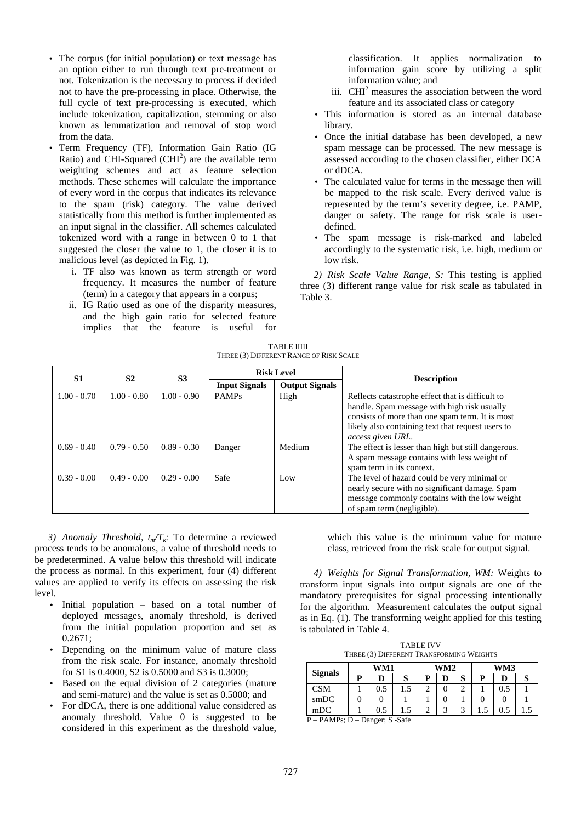- The corpus (for initial population) or text message has an option either to run through text pre-treatment or not. Tokenization is the necessary to process if decided not to have the pre-processing in place. Otherwise, the full cycle of text pre-processing is executed, which include tokenization, capitalization, stemming or also known as lemmatization and removal of stop word from the data.
- Term Frequency (TF), Information Gain Ratio (IG Ratio) and CHI-Squared (CHI<sup>2</sup>) are the available term weighting schemes and act as feature selection methods. These schemes will calculate the importance of every word in the corpus that indicates its relevance to the spam (risk) category. The value derived statistically from this method is further implemented as an input signal in the classifier. All schemes calculated tokenized word with a range in between 0 to 1 that suggested the closer the value to 1, the closer it is to malicious level (as depicted in Fig. 1).
	- i. TF also was known as term strength or word frequency. It measures the number of feature (term) in a category that appears in a corpus;
	- ii. IG Ratio used as one of the disparity measures, and the high gain ratio for selected feature implies that the feature is useful for

classification. It applies normalization to information gain score by utilizing a split information value; and

- iii.  $CHI<sup>2</sup>$  measures the association between the word feature and its associated class or category
- This information is stored as an internal database library.
- Once the initial database has been developed, a new spam message can be processed. The new message is assessed according to the chosen classifier, either DCA or dDCA.
- The calculated value for terms in the message then will be mapped to the risk scale. Every derived value is represented by the term's severity degree, i.e. PAMP, danger or safety. The range for risk scale is userdefined.
- The spam message is risk-marked and labeled accordingly to the systematic risk, i.e. high, medium or low risk.

*2) Risk Scale Value Range, S:* This testing is applied three (3) different range value for risk scale as tabulated in Table 3.

TABLE IIIII THREE (3) DIFFERENT RANGE OF RISK SCALE

| S1            | <b>S2</b>     | S <sub>3</sub> |                      | <b>Risk Level</b>     | <b>Description</b>                                  |
|---------------|---------------|----------------|----------------------|-----------------------|-----------------------------------------------------|
|               |               |                | <b>Input Signals</b> | <b>Output Signals</b> |                                                     |
| $1.00 - 0.70$ | $1.00 - 0.80$ | $1.00 - 0.90$  | <b>PAMPs</b>         | High                  | Reflects catastrophe effect that is difficult to    |
|               |               |                |                      |                       | handle. Spam message with high risk usually         |
|               |               |                |                      |                       | consists of more than one spam term. It is most     |
|               |               |                |                      |                       | likely also containing text that request users to   |
|               |               |                |                      |                       | access given URL.                                   |
| $0.69 - 0.40$ | $0.79 - 0.50$ | $0.89 - 0.30$  | Danger               | Medium                | The effect is lesser than high but still dangerous. |
|               |               |                |                      |                       | A spam message contains with less weight of         |
|               |               |                |                      |                       | spam term in its context.                           |
| $0.39 - 0.00$ | $0.49 - 0.00$ | $0.29 - 0.00$  | Safe                 | Low                   | The level of hazard could be very minimal or        |
|               |               |                |                      |                       | nearly secure with no significant damage. Spam      |
|               |               |                |                      |                       | message commonly contains with the low weight       |
|               |               |                |                      |                       | of spam term (negligible).                          |

*3) Anomaly Threshold, tm/Tk:* To determine a reviewed process tends to be anomalous, a value of threshold needs to be predetermined. A value below this threshold will indicate the process as normal. In this experiment, four (4) different values are applied to verify its effects on assessing the risk level.

- Initial population based on a total number of deployed messages, anomaly threshold, is derived from the initial population proportion and set as  $0.2671:$
- Depending on the minimum value of mature class from the risk scale. For instance, anomaly threshold for S1 is 0.4000, S2 is 0.5000 and S3 is 0.3000;
- Based on the equal division of 2 categories (mature and semi-mature) and the value is set as 0.5000; and
- For dDCA, there is one additional value considered as anomaly threshold. Value 0 is suggested to be considered in this experiment as the threshold value,

which this value is the minimum value for mature class, retrieved from the risk scale for output signal.

*4) Weights for Signal Transformation, WM:* Weights to transform input signals into output signals are one of the mandatory prerequisites for signal processing intentionally for the algorithm. Measurement calculates the output signal as in Eq. (1). The transforming weight applied for this testing is tabulated in Table 4.

TABLE IVV THREE (3) DIFFERENT TRANSFORMING WEIGHTS

| WM1 |     |     | WM2 |            |            | WM3 |     |  |
|-----|-----|-----|-----|------------|------------|-----|-----|--|
|     | D   | ມ   |     |            | v          |     | D   |  |
|     | 0.5 | 1.J |     |            |            |     | 0.5 |  |
|     |     |     |     |            |            |     |     |  |
|     | 0.5 | 1.5 |     | $\sqrt{2}$ | $\sqrt{2}$ |     | 0.5 |  |
|     |     |     |     |            |            |     |     |  |

P – PAMPs; D – Danger; S -Safe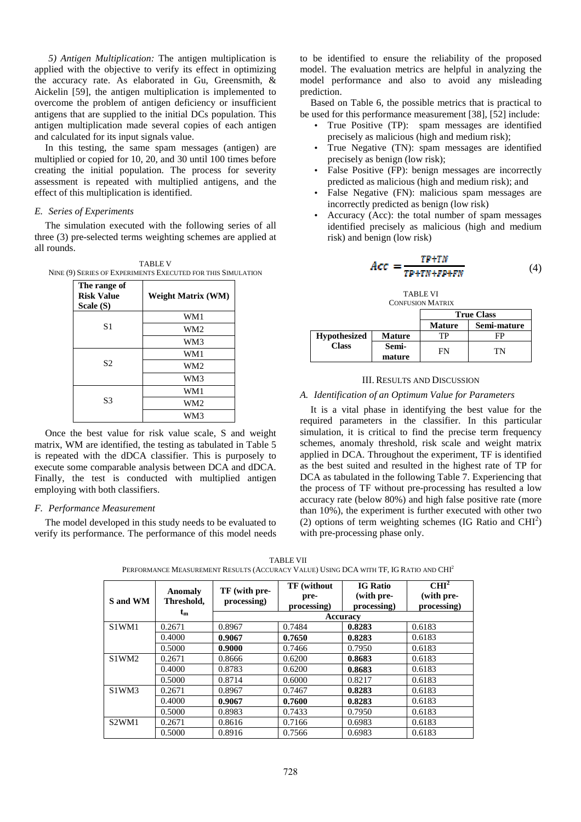*5) Antigen Multiplication:* The antigen multiplication is applied with the objective to verify its effect in optimizing the accuracy rate. As elaborated in Gu, Greensmith, & Aickelin [59], the antigen multiplication is implemented to overcome the problem of antigen deficiency or insufficient antigens that are supplied to the initial DCs population. This antigen multiplication made several copies of each antigen and calculated for its input signals value.

In this testing, the same spam messages (antigen) are multiplied or copied for 10, 20, and 30 until 100 times before creating the initial population. The process for severity assessment is repeated with multiplied antigens, and the effect of this multiplication is identified.

#### *E. Series of Experiments*

The simulation executed with the following series of all three (3) pre-selected terms weighting schemes are applied at all rounds.

TABLE V NINE (9) SERIES OF EXPERIMENTS EXECUTED FOR THIS SIMULATION

| The range of<br><b>Risk Value</b><br>Scale (S) | <b>Weight Matrix (WM)</b> |
|------------------------------------------------|---------------------------|
|                                                | WM1                       |
| S <sub>1</sub>                                 | WM2                       |
|                                                | WM3                       |
|                                                | WM1                       |
| S <sub>2</sub>                                 | WM <sub>2</sub>           |
|                                                | WM3                       |
|                                                | WM1                       |
| S <sub>3</sub>                                 | WM <sub>2</sub>           |
|                                                | WM3                       |

Once the best value for risk value scale, S and weight matrix, WM are identified, the testing as tabulated in Table 5 is repeated with the dDCA classifier. This is purposely to execute some comparable analysis between DCA and dDCA. Finally, the test is conducted with multiplied antigen employing with both classifiers.

#### *F. Performance Measurement*

The model developed in this study needs to be evaluated to verify its performance. The performance of this model needs to be identified to ensure the reliability of the proposed model. The evaluation metrics are helpful in analyzing the model performance and also to avoid any misleading prediction.

Based on Table 6, the possible metrics that is practical to be used for this performance measurement [38], [52] include:

- True Positive (TP): spam messages are identified precisely as malicious (high and medium risk);
- True Negative (TN): spam messages are identified precisely as benign (low risk);
- False Positive (FP): benign messages are incorrectly predicted as malicious (high and medium risk); and
- False Negative (FN): malicious spam messages are incorrectly predicted as benign (low risk)
- Accuracy (Acc): the total number of spam messages identified precisely as malicious (high and medium risk) and benign (low risk)

$$
Acc = \frac{TP + TN}{TP + TN + FP + FN} \tag{4}
$$

TABLE VI CONFUSION MATRIX

|                     |                 | <b>True Class</b> |             |  |
|---------------------|-----------------|-------------------|-------------|--|
|                     |                 | <b>Mature</b>     | Semi-mature |  |
| <b>Hypothesized</b> | <b>Mature</b>   |                   |             |  |
| <b>Class</b>        | Semi-<br>mature | FN                | TΝ          |  |

#### III. RESULTS AND DISCUSSION

#### *A. Identification of an Optimum Value for Parameters*

It is a vital phase in identifying the best value for the required parameters in the classifier. In this particular simulation, it is critical to find the precise term frequency schemes, anomaly threshold, risk scale and weight matrix applied in DCA. Throughout the experiment, TF is identified as the best suited and resulted in the highest rate of TP for DCA as tabulated in the following Table 7. Experiencing that the process of TF without pre-processing has resulted a low accuracy rate (below 80%) and high false positive rate (more than 10%), the experiment is further executed with other two (2) options of term weighting schemes (IG Ratio and  $CHI<sup>2</sup>$ ) with pre-processing phase only.

| S and WM                       | <b>Anomaly</b><br>Threshold. | TF (with pre-<br>processing) | TF (without<br>pre-<br>processing) | <b>IG Ratio</b><br>(with pre-<br>processing) | CHI <sup>2</sup><br>(with pre-<br>processing) |
|--------------------------------|------------------------------|------------------------------|------------------------------------|----------------------------------------------|-----------------------------------------------|
|                                | $t_{m}$                      |                              |                                    | Accuracy                                     |                                               |
| S1WM1                          | 0.2671                       | 0.8967                       | 0.7484                             | 0.8283                                       | 0.6183                                        |
|                                | 0.4000                       | 0.9067                       | 0.7650                             | 0.8283                                       | 0.6183                                        |
|                                | 0.5000                       | 0.9000                       | 0.7466                             | 0.7950                                       | 0.6183                                        |
| S1WM2                          | 0.2671                       | 0.8666                       | 0.6200                             | 0.8683                                       | 0.6183                                        |
|                                | 0.4000                       | 0.8783                       | 0.6200                             | 0.8683                                       | 0.6183                                        |
|                                | 0.5000                       | 0.8714                       | 0.6000                             | 0.8217                                       | 0.6183                                        |
| S1WM3                          | 0.2671                       | 0.8967                       | 0.7467                             | 0.8283                                       | 0.6183                                        |
|                                | 0.4000                       | 0.9067                       | 0.7600                             | 0.8283                                       | 0.6183                                        |
|                                | 0.5000                       | 0.8983                       | 0.7433                             | 0.7950                                       | 0.6183                                        |
| S <sub>2</sub> WM <sub>1</sub> | 0.2671                       | 0.8616                       | 0.7166                             | 0.6983                                       | 0.6183                                        |
|                                | 0.5000                       | 0.8916                       | 0.7566                             | 0.6983                                       | 0.6183                                        |

TABLE VII PERFORMANCE MEASUREMENT RESULTS (ACCURACY VALUE) USING DCA WITH TF, IG RATIO AND CHI<sup>2</sup>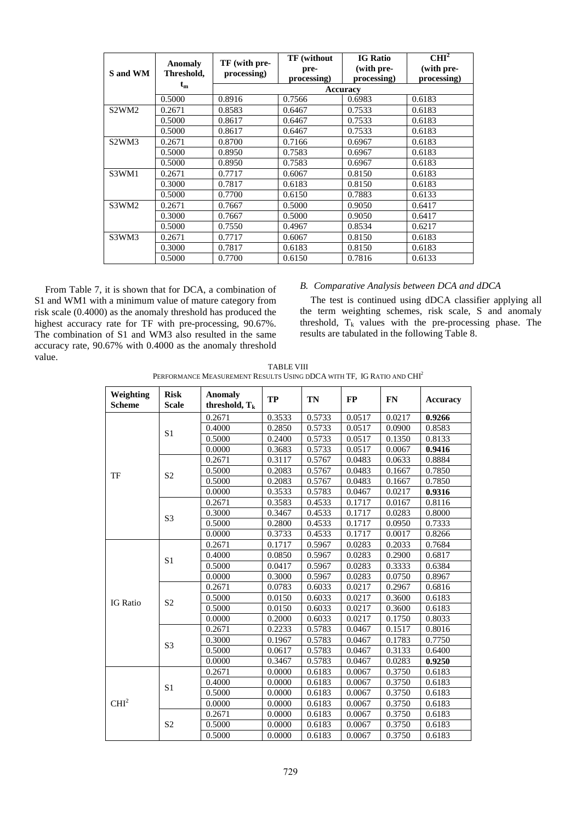| S and WM                       | Anomaly<br>Threshold, | TF (with pre-<br>processing) | TF (without<br>pre-<br>processing) | <b>IG Ratio</b><br>(with pre-<br>processing) | CHI <sup>2</sup><br>(with pre-<br>processing) |  |  |  |
|--------------------------------|-----------------------|------------------------------|------------------------------------|----------------------------------------------|-----------------------------------------------|--|--|--|
|                                | $t_{m}$               |                              | <b>Accuracy</b>                    |                                              |                                               |  |  |  |
|                                | 0.5000                | 0.8916                       | 0.7566                             | 0.6983                                       | 0.6183                                        |  |  |  |
| S <sub>2</sub> WM <sub>2</sub> | 0.2671                | 0.8583                       | 0.6467                             | 0.7533                                       | 0.6183                                        |  |  |  |
|                                | 0.5000                | 0.8617                       | 0.6467                             | 0.7533                                       | 0.6183                                        |  |  |  |
|                                | 0.5000                | 0.8617                       | 0.6467                             | 0.7533                                       | 0.6183                                        |  |  |  |
| S <sub>2</sub> WM <sub>3</sub> | 0.2671                | 0.8700                       | 0.7166                             | 0.6967                                       | 0.6183                                        |  |  |  |
|                                | 0.5000                | 0.8950                       | 0.7583                             | 0.6967                                       | 0.6183                                        |  |  |  |
|                                | 0.5000                | 0.8950                       | 0.7583                             | 0.6967                                       | 0.6183                                        |  |  |  |
| S3WM1                          | 0.2671                | 0.7717                       | 0.6067                             | 0.8150                                       | 0.6183                                        |  |  |  |
|                                | 0.3000                | 0.7817                       | 0.6183                             | 0.8150                                       | 0.6183                                        |  |  |  |
|                                | 0.5000                | 0.7700                       | 0.6150                             | 0.7883                                       | 0.6133                                        |  |  |  |
| S3WM2                          | 0.2671                | 0.7667                       | 0.5000                             | 0.9050                                       | 0.6417                                        |  |  |  |
|                                | 0.3000                | 0.7667                       | 0.5000                             | 0.9050                                       | 0.6417                                        |  |  |  |
|                                | 0.5000                | 0.7550                       | 0.4967                             | 0.8534                                       | 0.6217                                        |  |  |  |
| S3WM3                          | 0.2671                | 0.7717                       | 0.6067                             | 0.8150                                       | 0.6183                                        |  |  |  |
|                                | 0.3000                | 0.7817                       | 0.6183                             | 0.8150                                       | 0.6183                                        |  |  |  |
|                                | 0.5000                | 0.7700                       | 0.6150                             | 0.7816                                       | 0.6133                                        |  |  |  |

From Table 7, it is shown that for DCA, a combination of S1 and WM1 with a minimum value of mature category from risk scale (0.4000) as the anomaly threshold has produced the highest accuracy rate for TF with pre-processing, 90.67%. The combination of S1 and WM3 also resulted in the same accuracy rate, 90.67% with 0.4000 as the anomaly threshold value.

# *B. Comparative Analysis between DCA and dDCA*

The test is continued using dDCA classifier applying all the term weighting schemes, risk scale, S and anomaly threshold,  $T_k$  values with the pre-processing phase. The results are tabulated in the following Table 8.

TABLE VIII PERFORMANCE MEASUREMENT RESULTS USING DDCA WITH TF, IG RATIO AND CHI<sup>2</sup>

| Weighting<br><b>Scheme</b> | <b>Risk</b><br><b>Scale</b> | <b>Anomaly</b><br>threshold, $T_k$ | <b>TP</b> | <b>TN</b> | <b>FP</b> | FN     | <b>Accuracy</b> |
|----------------------------|-----------------------------|------------------------------------|-----------|-----------|-----------|--------|-----------------|
|                            |                             | 0.2671                             | 0.3533    | 0.5733    | 0.0517    | 0.0217 | 0.9266          |
|                            | S <sub>1</sub>              | 0.4000                             | 0.2850    | 0.5733    | 0.0517    | 0.0900 | 0.8583          |
|                            |                             | 0.5000                             | 0.2400    | 0.5733    | 0.0517    | 0.1350 | 0.8133          |
|                            |                             | 0.0000                             | 0.3683    | 0.5733    | 0.0517    | 0.0067 | 0.9416          |
|                            |                             | 0.2671                             | 0.3117    | 0.5767    | 0.0483    | 0.0633 | 0.8884          |
|                            | S <sub>2</sub>              | 0.5000                             | 0.2083    | 0.5767    | 0.0483    | 0.1667 | 0.7850          |
| TF                         |                             | 0.5000                             | 0.2083    | 0.5767    | 0.0483    | 0.1667 | 0.7850          |
|                            |                             | 0.0000                             | 0.3533    | 0.5783    | 0.0467    | 0.0217 | 0.9316          |
|                            |                             | 0.2671                             | 0.3583    | 0.4533    | 0.1717    | 0.0167 | 0.8116          |
|                            | S <sub>3</sub>              | 0.3000                             | 0.3467    | 0.4533    | 0.1717    | 0.0283 | 0.8000          |
|                            |                             | 0.5000                             | 0.2800    | 0.4533    | 0.1717    | 0.0950 | 0.7333          |
|                            |                             | 0.0000                             | 0.3733    | 0.4533    | 0.1717    | 0.0017 | 0.8266          |
|                            | S <sub>1</sub>              | 0.2671                             | 0.1717    | 0.5967    | 0.0283    | 0.2033 | 0.7684          |
|                            |                             | 0.4000                             | 0.0850    | 0.5967    | 0.0283    | 0.2900 | 0.6817          |
|                            |                             | 0.5000                             | 0.0417    | 0.5967    | 0.0283    | 0.3333 | 0.6384          |
|                            |                             | 0.0000                             | 0.3000    | 0.5967    | 0.0283    | 0.0750 | 0.8967          |
|                            | S <sub>2</sub>              | 0.2671                             | 0.0783    | 0.6033    | 0.0217    | 0.2967 | 0.6816          |
| <b>IG</b> Ratio            |                             | 0.5000                             | 0.0150    | 0.6033    | 0.0217    | 0.3600 | 0.6183          |
|                            |                             | 0.5000                             | 0.0150    | 0.6033    | 0.0217    | 0.3600 | 0.6183          |
|                            |                             | 0.0000                             | 0.2000    | 0.6033    | 0.0217    | 0.1750 | 0.8033          |
|                            | S <sub>3</sub>              | 0.2671                             | 0.2233    | 0.5783    | 0.0467    | 0.1517 | 0.8016          |
|                            |                             | 0.3000                             | 0.1967    | 0.5783    | 0.0467    | 0.1783 | 0.7750          |
|                            |                             | 0.5000                             | 0.0617    | 0.5783    | 0.0467    | 0.3133 | 0.6400          |
|                            |                             | 0.0000                             | 0.3467    | 0.5783    | 0.0467    | 0.0283 | 0.9250          |
|                            |                             | 0.2671                             | 0.0000    | 0.6183    | 0.0067    | 0.3750 | 0.6183          |
|                            | S <sub>1</sub>              | 0.4000                             | 0.0000    | 0.6183    | 0.0067    | 0.3750 | 0.6183          |
|                            |                             | 0.5000                             | 0.0000    | 0.6183    | 0.0067    | 0.3750 | 0.6183          |
| CHI <sup>2</sup>           |                             | 0.0000                             | 0.0000    | 0.6183    | 0.0067    | 0.3750 | 0.6183          |
|                            |                             | 0.2671                             | 0.0000    | 0.6183    | 0.0067    | 0.3750 | 0.6183          |
|                            | S <sub>2</sub>              | 0.5000                             | 0.0000    | 0.6183    | 0.0067    | 0.3750 | 0.6183          |
|                            |                             | 0.5000                             | 0.0000    | 0.6183    | 0.0067    | 0.3750 | 0.6183          |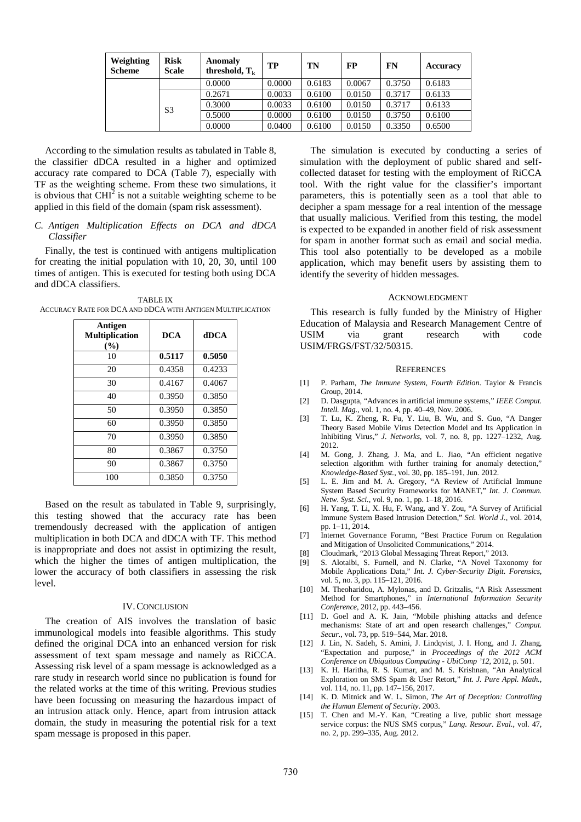| Weighting<br><b>Scheme</b> | <b>Risk</b><br><b>Scale</b> | <b>Anomaly</b><br>threshold, $T_k$ | TP     | TN     | FP     | <b>FN</b> | Accuracy |
|----------------------------|-----------------------------|------------------------------------|--------|--------|--------|-----------|----------|
|                            |                             | 0.0000                             | 0.0000 | 0.6183 | 0.0067 | 0.3750    | 0.6183   |
|                            |                             | 0.2671                             | 0.0033 | 0.6100 | 0.0150 | 0.3717    | 0.6133   |
|                            | S <sub>3</sub>              | 0.3000                             | 0.0033 | 0.6100 | 0.0150 | 0.3717    | 0.6133   |
|                            |                             | 0.5000                             | 0.0000 | 0.6100 | 0.0150 | 0.3750    | 0.6100   |
|                            |                             | 0.0000                             | 0.0400 | 0.6100 | 0.0150 | 0.3350    | 0.6500   |

According to the simulation results as tabulated in Table 8, the classifier dDCA resulted in a higher and optimized accuracy rate compared to DCA (Table 7), especially with TF as the weighting scheme. From these two simulations, it is obvious that  $CHI<sup>2</sup>$  is not a suitable weighting scheme to be applied in this field of the domain (spam risk assessment).

*C. Antigen Multiplication Effects on DCA and dDCA Classifier* 

Finally, the test is continued with antigens multiplication for creating the initial population with 10, 20, 30, until 100 times of antigen. This is executed for testing both using DCA and dDCA classifiers.

TABLE IX ACCURACY RATE FOR DCA AND DDCA WITH ANTIGEN MULTIPLICATION

| Antigen<br><b>Multiplication</b><br>$($ %) | <b>DCA</b> | dDCA   |
|--------------------------------------------|------------|--------|
| 10                                         | 0.5117     | 0.5050 |
| 20                                         | 0.4358     | 0.4233 |
| 30                                         | 0.4167     | 0.4067 |
| 40                                         | 0.3950     | 0.3850 |
| 50                                         | 0.3950     | 0.3850 |
| 60                                         | 0.3950     | 0.3850 |
| 70                                         | 0.3950     | 0.3850 |
| 80                                         | 0.3867     | 0.3750 |
| 90                                         | 0.3867     | 0.3750 |
| 100                                        | 0.3850     | 0.3750 |

Based on the result as tabulated in Table 9, surprisingly, this testing showed that the accuracy rate has been tremendously decreased with the application of antigen multiplication in both DCA and dDCA with TF. This method is inappropriate and does not assist in optimizing the result, which the higher the times of antigen multiplication, the lower the accuracy of both classifiers in assessing the risk level.

## IV. CONCLUSION

The creation of AIS involves the translation of basic immunological models into feasible algorithms. This study defined the original DCA into an enhanced version for risk assessment of text spam message and namely as RiCCA. Assessing risk level of a spam message is acknowledged as a rare study in research world since no publication is found for the related works at the time of this writing. Previous studies have been focussing on measuring the hazardous impact of an intrusion attack only. Hence, apart from intrusion attack domain, the study in measuring the potential risk for a text spam message is proposed in this paper.

The simulation is executed by conducting a series of simulation with the deployment of public shared and selfcollected dataset for testing with the employment of RiCCA tool. With the right value for the classifier's important parameters, this is potentially seen as a tool that able to decipher a spam message for a real intention of the message that usually malicious. Verified from this testing, the model is expected to be expanded in another field of risk assessment for spam in another format such as email and social media. This tool also potentially to be developed as a mobile application, which may benefit users by assisting them to identify the severity of hidden messages.

#### ACKNOWLEDGMENT

This research is fully funded by the Ministry of Higher Education of Malaysia and Research Management Centre of<br>USIM via grant research with code USIM via grant research with code USIM/FRGS/FST/32/50315.

#### **REFERENCES**

- [1] P. Parham, *The Immune System, Fourth Edition*. Taylor & Francis Group, 2014.
- [2] D. Dasgupta, "Advances in artificial immune systems," *IEEE Comput. Intell. Mag.*, vol. 1, no. 4, pp. 40–49, Nov. 2006.
- [3] T. Lu, K. Zheng, R. Fu, Y. Liu, B. Wu, and S. Guo, "A Danger Theory Based Mobile Virus Detection Model and Its Application in Inhibiting Virus," *J. Networks*, vol. 7, no. 8, pp. 1227–1232, Aug. 2012.
- [4] M. Gong, J. Zhang, J. Ma, and L. Jiao, "An efficient negative selection algorithm with further training for anomaly detection," *Knowledge-Based Syst.*, vol. 30, pp. 185–191, Jun. 2012.
- [5] L. E. Jim and M. A. Gregory, "A Review of Artificial Immune System Based Security Frameworks for MANET," *Int. J. Commun. Netw. Syst. Sci.*, vol. 9, no. 1, pp. 1–18, 2016.
- [6] H. Yang, T. Li, X. Hu, F. Wang, and Y. Zou, "A Survey of Artificial Immune System Based Intrusion Detection," *Sci. World J.*, vol. 2014, pp. 1–11, 2014.
- [7] Internet Governance Forumn, "Best Practice Forum on Regulation and Mitigation of Unsolicited Communications," 2014.
- [8] Cloudmark, "2013 Global Messaging Threat Report," 2013.
- [9] S. Alotaibi, S. Furnell, and N. Clarke, "A Novel Taxonomy for Mobile Applications Data," *Int. J. Cyber-Security Digit. Forensics*, vol. 5, no. 3, pp. 115–121, 2016.
- [10] M. Theoharidou, A. Mylonas, and D. Gritzalis, "A Risk Assessment Method for Smartphones," in *International Information Security Conference*, 2012, pp. 443–456.
- [11] D. Goel and A. K. Jain, "Mobile phishing attacks and defence mechanisms: State of art and open research challenges," *Comput. Secur.*, vol. 73, pp. 519–544, Mar. 2018.
- [12] J. Lin, N. Sadeh, S. Amini, J. Lindqvist, J. I. Hong, and J. Zhang, "Expectation and purpose," in *Proceedings of the 2012 ACM Conference on Ubiquitous Computing - UbiComp '12*, 2012, p. 501.
- [13] K. H. Haritha, R. S. Kumar, and M. S. Krishnan, "An Analytical Exploration on SMS Spam & User Retort," *Int. J. Pure Appl. Math.*, vol. 114, no. 11, pp. 147–156, 2017.
- [14] K. D. Mitnick and W. L. Simon, *The Art of Deception: Controlling the Human Element of Security*. 2003.
- [15] T. Chen and M.-Y. Kan, "Creating a live, public short message service corpus: the NUS SMS corpus," *Lang. Resour. Eval.*, vol. 47, no. 2, pp. 299–335, Aug. 2012.